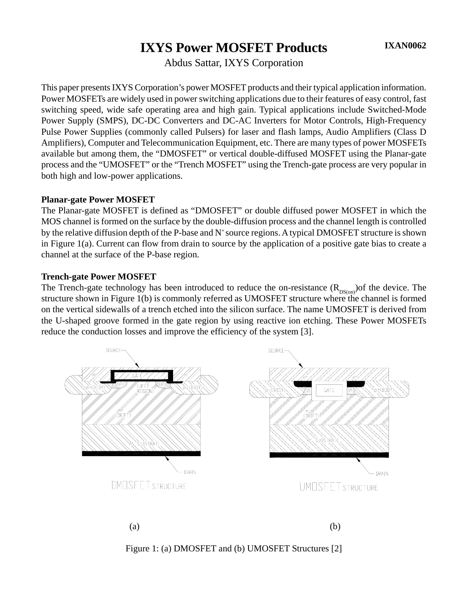# **IXYS Power MOSFET Products**

Abdus Sattar, IXYS Corporation

This paper presents IXYS Corporation's power MOSFET products and their typical application information. Power MOSFETs are widely used in power switching applications due to their features of easy control, fast switching speed, wide safe operating area and high gain. Typical applications include Switched-Mode Power Supply (SMPS), DC-DC Converters and DC-AC Inverters for Motor Controls, High-Frequency Pulse Power Supplies (commonly called Pulsers) for laser and flash lamps, Audio Amplifiers (Class D Amplifiers), Computer and Telecommunication Equipment, etc. There are many types of power MOSFETs available but among them, the "DMOSFET" or vertical double-diffused MOSFET using the Planar-gate process and the "UMOSFET" or the "Trench MOSFET" using the Trench-gate process are very popular in both high and low-power applications.

#### **Planar-gate Power MOSFET**

The Planar-gate MOSFET is defined as "DMOSFET" or double diffused power MOSFET in which the MOS channel is formed on the surface by the double-diffusion process and the channel length is controlled by the relative diffusion depth of the P-base and  $N^+$  source regions. A typical DMOSFET structure is shown in Figure 1(a). Current can flow from drain to source by the application of a positive gate bias to create a channel at the surface of the P-base region.

#### **Trench-gate Power MOSFET**

The Trench-gate technology has been introduced to reduce the on-resistance  $(R_{DS(on)})$ of the device. The structure shown in Figure 1(b) is commonly referred as UMOSFET structure where the channel is formed on the vertical sidewalls of a trench etched into the silicon surface. The name UMOSFET is derived from the U-shaped groove formed in the gate region by using reactive ion etching. These Power MOSFETs reduce the conduction losses and improve the efficiency of the system [3].



Figure 1: (a) DMOSFET and (b) UMOSFET Structures [2]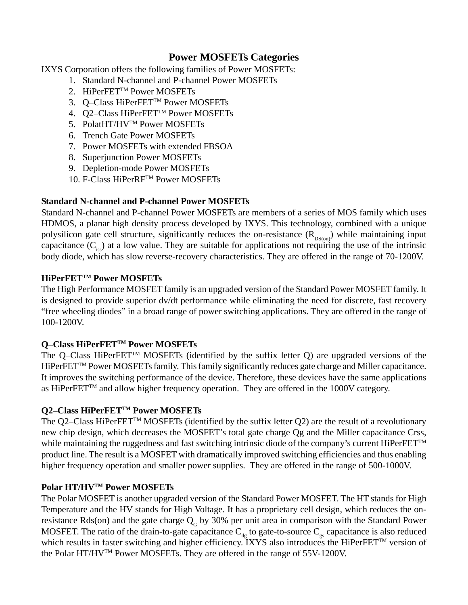# **Power MOSFETs Categories**

IXYS Corporation offers the following families of Power MOSFETs:

- 1. Standard N-channel and P-channel Power MOSFETs
- 2. HiPerFET™ Power MOSFETs
- 3. Q–Class HiPerFET™ Power MOSFETs
- 4. Q2–Class HiPerFET™ Power MOSFETs
- 5. PolatHT/HV™ Power MOSFETs
- 6. Trench Gate Power MOSFETs
- 7. Power MOSFETs with extended FBSOA
- 8. Superjunction Power MOSFETs
- 9. Depletion-mode Power MOSFETs
- 10. F-Class HiPerRFTM Power MOSFETs

# **Standard N-channel and P-channel Power MOSFETs**

Standard N-channel and P-channel Power MOSFETs are members of a series of MOS family which uses HDMOS, a planar high density process developed by IXYS. This technology, combined with a unique polysilicon gate cell structure, significantly reduces the on-resistance  $(R_{DS(on)})$  while maintaining input capacitance  $(C_{i_{\text{ss}}})$  at a low value. They are suitable for applications not requiring the use of the intrinsic body diode, which has slow reverse-recovery characteristics. They are offered in the range of 70-1200V.

### **HiPerFETTM Power MOSFETs**

The High Performance MOSFET family is an upgraded version of the Standard Power MOSFET family. It is designed to provide superior dv/dt performance while eliminating the need for discrete, fast recovery "free wheeling diodes" in a broad range of power switching applications. They are offered in the range of 100-1200V.

# **Q–Class HiPerFETTM Power MOSFETs**

The Q–Class HiPerFET<sup>TM</sup> MOSFETs (identified by the suffix letter Q) are upgraded versions of the HiPerFET<sup>TM</sup> Power MOSFETs family. This family significantly reduces gate charge and Miller capacitance. It improves the switching performance of the device. Therefore, these devices have the same applications as HiPerFETTM and allow higher frequency operation. They are offered in the 1000V category.

### **Q2–Class HiPerFETTM Power MOSFETs**

The Q2–Class HiPerFET<sup>™</sup> MOSFETs (identified by the suffix letter Q2) are the result of a revolutionary new chip design, which decreases the MOSFET's total gate charge Qg and the Miller capacitance Crss, while maintaining the ruggedness and fast switching intrinsic diode of the company's current HiPerFET<sup>TM</sup> product line. The result is a MOSFET with dramatically improved switching efficiencies and thus enabling higher frequency operation and smaller power supplies. They are offered in the range of 500-1000V.

# **Polar HT/HVTM Power MOSFETs**

The Polar MOSFET is another upgraded version of the Standard Power MOSFET. The HT stands for High Temperature and the HV stands for High Voltage. It has a proprietary cell design, which reduces the onresistance Rds(on) and the gate charge  $Q<sub>G</sub>$  by 30% per unit area in comparison with the Standard Power MOSFET. The ratio of the drain-to-gate capacitance  $C_{dg}$  to gate-to-source  $C_{gs}$  capacitance is also reduced which results in faster switching and higher efficiency. IXYS also introduces the HiPerFET<sup>™</sup> version of the Polar HT/HVTM Power MOSFETs. They are offered in the range of 55V-1200V.